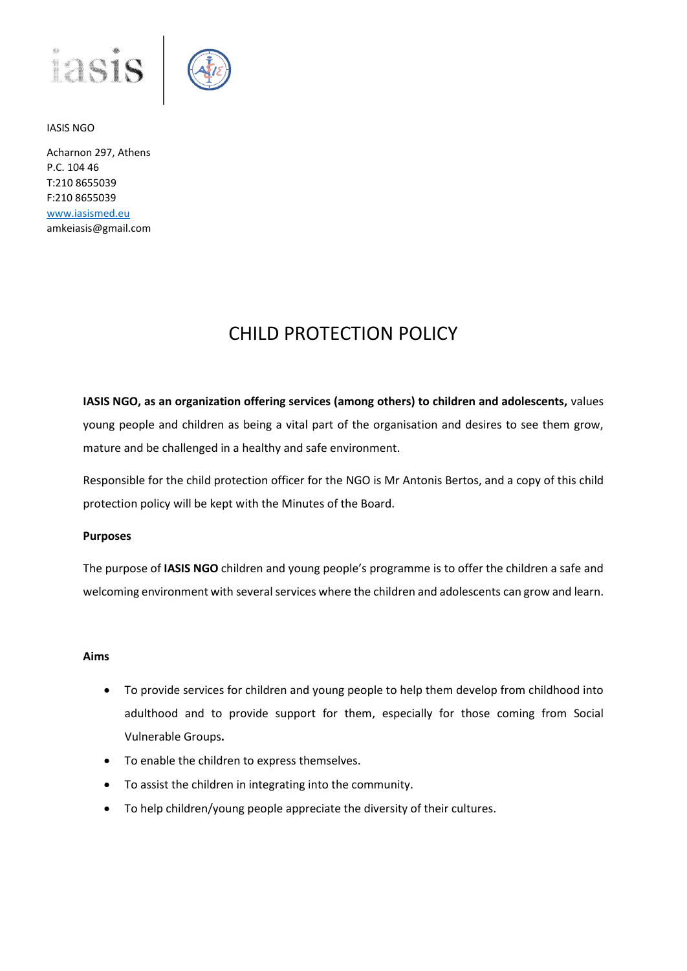



Acharnon 297, Athens P.C. 104 46 T:210 8655039 F:210 8655039 [www.iasismed.eu](http://www.iasismed.eu/) amkeiasis@gmail.com

# CHILD PROTECTION POLICY

**IASIS NGO, as an organization offering services (among others) to children and adolescents,** values young people and children as being a vital part of the organisation and desires to see them grow, mature and be challenged in a healthy and safe environment.

Responsible for the child protection officer for the NGO is Mr Antonis Bertos, and a copy of this child protection policy will be kept with the Minutes of the Board.

#### **Purposes**

The purpose of **IASIS NGO** children and young people's programme is to offer the children a safe and welcoming environment with several services where the children and adolescents can grow and learn.

#### **Aims**

- To provide services for children and young people to help them develop from childhood into adulthood and to provide support for them, especially for those coming from Social Vulnerable Groups**.**
- To enable the children to express themselves.
- To assist the children in integrating into the community.
- To help children/young people appreciate the diversity of their cultures.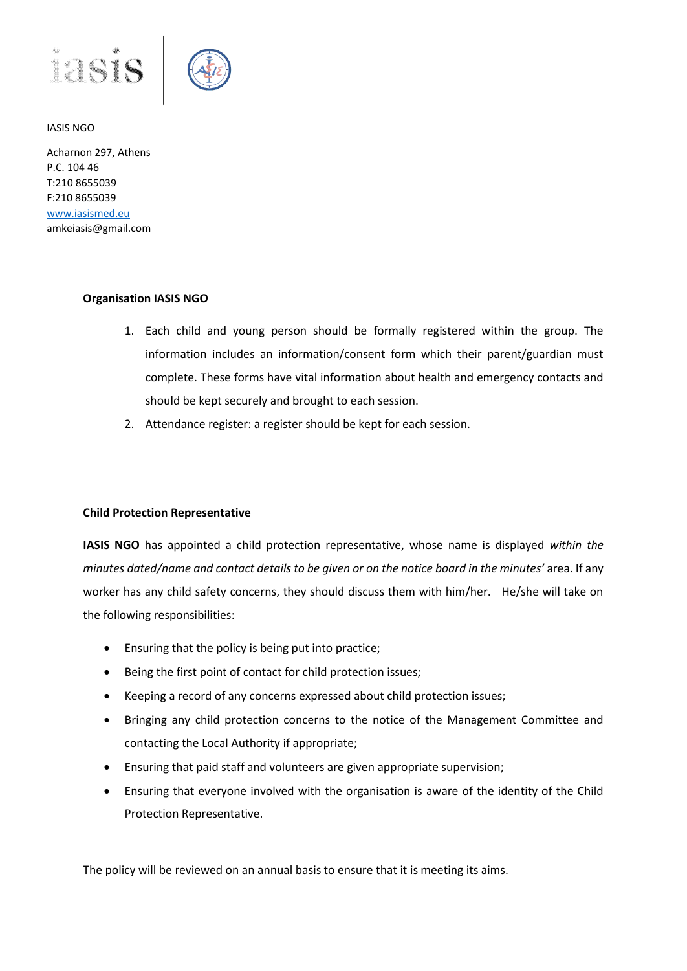



Acharnon 297, Athens P.C. 104 46 T:210 8655039 F:210 8655039 [www.iasismed.eu](http://www.iasismed.eu/) amkeiasis@gmail.com

#### **Organisation IASIS NGO**

- 1. Each child and young person should be formally registered within the group. The information includes an information/consent form which their parent/guardian must complete. These forms have vital information about health and emergency contacts and should be kept securely and brought to each session.
- 2. Attendance register: a register should be kept for each session.

#### **Child Protection Representative**

**IASIS NGO** has appointed a child protection representative, whose name is displayed *within the minutes dated/name and contact details to be given or on the notice board in the minutes' area.* If any worker has any child safety concerns, they should discuss them with him/her. He/she will take on the following responsibilities:

- Ensuring that the policy is being put into practice;
- Being the first point of contact for child protection issues;
- Keeping a record of any concerns expressed about child protection issues;
- Bringing any child protection concerns to the notice of the Management Committee and contacting the Local Authority if appropriate;
- Ensuring that paid staff and volunteers are given appropriate supervision;
- Ensuring that everyone involved with the organisation is aware of the identity of the Child Protection Representative.

The policy will be reviewed on an annual basis to ensure that it is meeting its aims.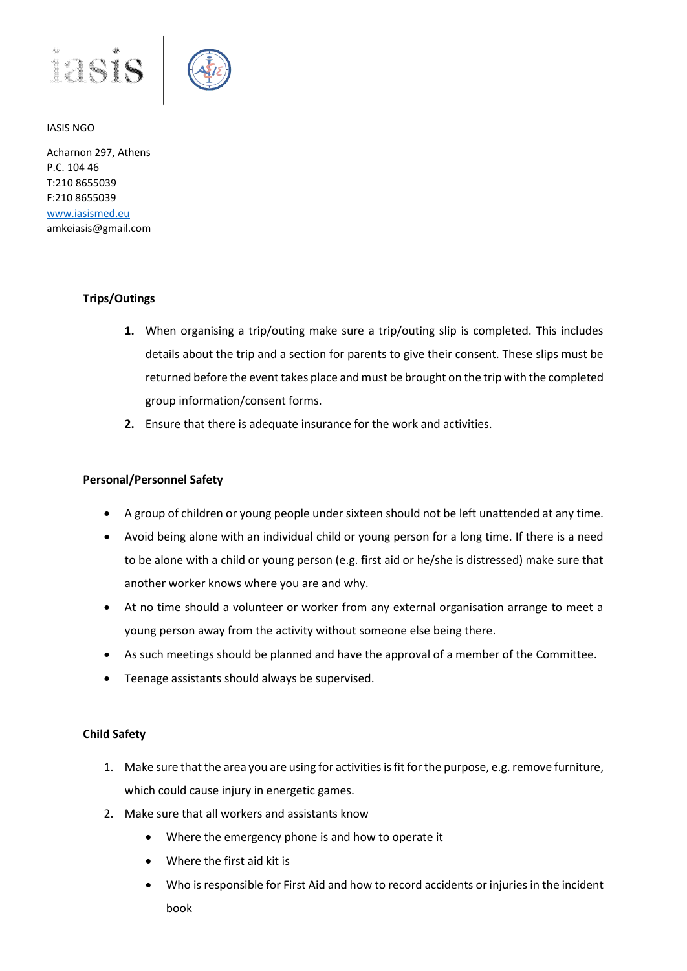



Acharnon 297, Athens P.C. 104 46 T:210 8655039 F:210 8655039 [www.iasismed.eu](http://www.iasismed.eu/) amkeiasis@gmail.com

## **Trips/Outings**

- **1.** When organising a trip/outing make sure a trip/outing slip is completed. This includes details about the trip and a section for parents to give their consent. These slips must be returned before the event takes place and must be brought on the trip with the completed group information/consent forms.
- **2.** Ensure that there is adequate insurance for the work and activities.

### **Personal/Personnel Safety**

- A group of children or young people under sixteen should not be left unattended at any time.
- Avoid being alone with an individual child or young person for a long time. If there is a need to be alone with a child or young person (e.g. first aid or he/she is distressed) make sure that another worker knows where you are and why.
- At no time should a volunteer or worker from any external organisation arrange to meet a young person away from the activity without someone else being there.
- As such meetings should be planned and have the approval of a member of the Committee.
- Teenage assistants should always be supervised.

#### **Child Safety**

- 1. Make sure that the area you are using for activities is fit for the purpose, e.g. remove furniture, which could cause injury in energetic games.
- 2. Make sure that all workers and assistants know
	- Where the emergency phone is and how to operate it
	- Where the first aid kit is
	- Who is responsible for First Aid and how to record accidents or injuries in the incident book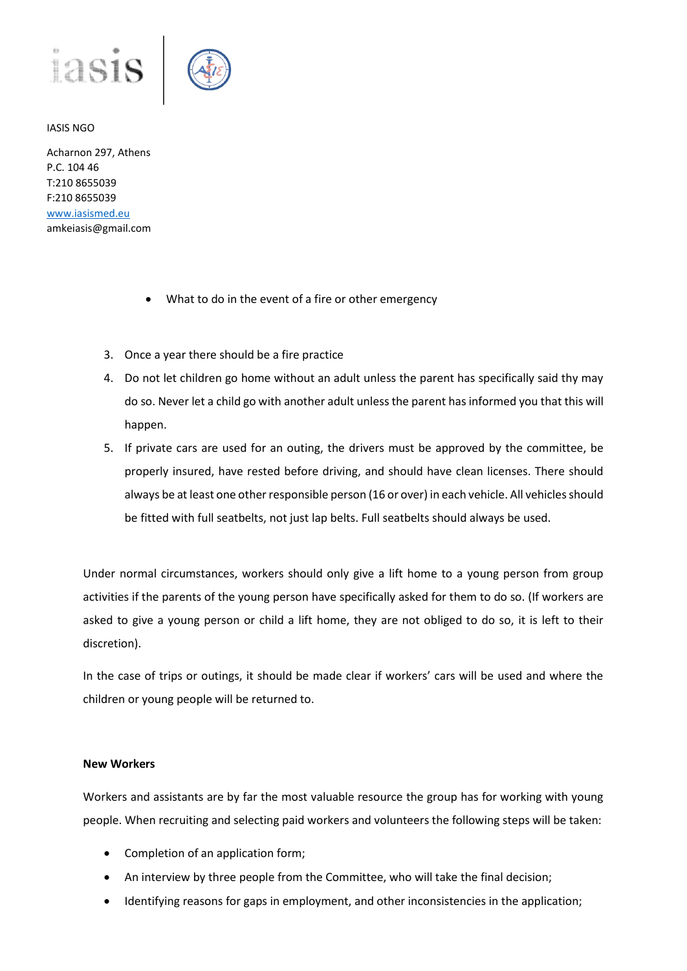



Acharnon 297, Athens P.C. 104 46 T:210 8655039 F:210 8655039 [www.iasismed.eu](http://www.iasismed.eu/) amkeiasis@gmail.com

- What to do in the event of a fire or other emergency
- 3. Once a year there should be a fire practice
- 4. Do not let children go home without an adult unless the parent has specifically said thy may do so. Never let a child go with another adult unless the parent has informed you that this will happen.
- 5. If private cars are used for an outing, the drivers must be approved by the committee, be properly insured, have rested before driving, and should have clean licenses. There should always be at least one other responsible person (16 or over) in each vehicle. All vehicles should be fitted with full seatbelts, not just lap belts. Full seatbelts should always be used.

Under normal circumstances, workers should only give a lift home to a young person from group activities if the parents of the young person have specifically asked for them to do so. (If workers are asked to give a young person or child a lift home, they are not obliged to do so, it is left to their discretion).

In the case of trips or outings, it should be made clear if workers' cars will be used and where the children or young people will be returned to.

#### **New Workers**

Workers and assistants are by far the most valuable resource the group has for working with young people. When recruiting and selecting paid workers and volunteers the following steps will be taken:

- Completion of an application form;
- An interview by three people from the Committee, who will take the final decision;
- Identifying reasons for gaps in employment, and other inconsistencies in the application;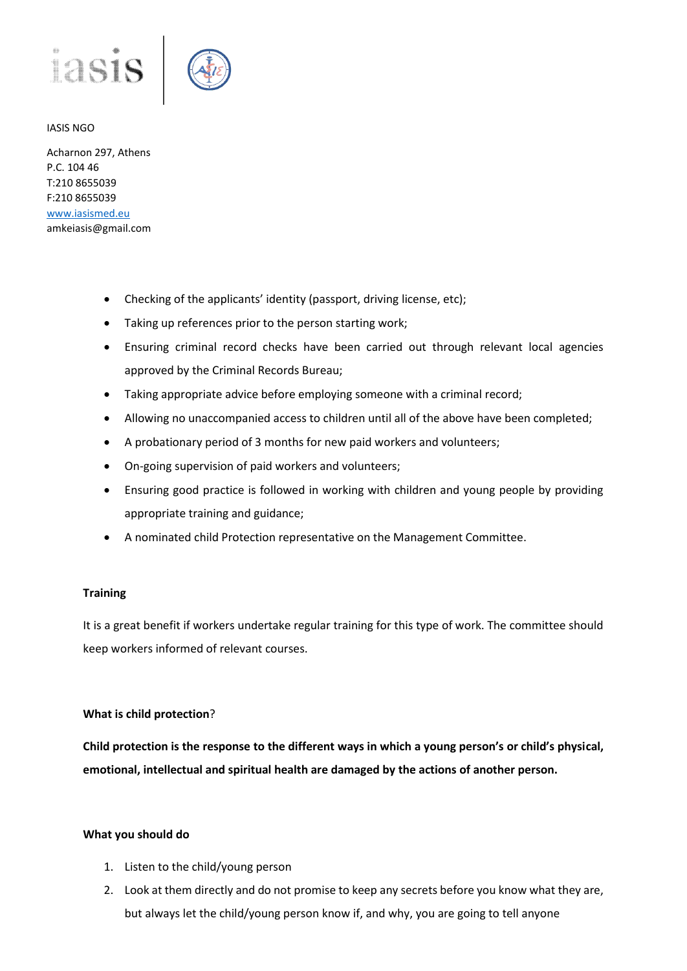

Acharnon 297, Athens P.C. 104 46 T:210 8655039 F:210 8655039 [www.iasismed.eu](http://www.iasismed.eu/) amkeiasis@gmail.com

- Checking of the applicants' identity (passport, driving license, etc);
- Taking up references prior to the person starting work;
- Ensuring criminal record checks have been carried out through relevant local agencies approved by the Criminal Records Bureau;
- Taking appropriate advice before employing someone with a criminal record;
- Allowing no unaccompanied access to children until all of the above have been completed;
- A probationary period of 3 months for new paid workers and volunteers;
- On-going supervision of paid workers and volunteers;
- Ensuring good practice is followed in working with children and young people by providing appropriate training and guidance;
- A nominated child Protection representative on the Management Committee.

#### **Training**

It is a great benefit if workers undertake regular training for this type of work. The committee should keep workers informed of relevant courses.

#### **What is child protection**?

**Child protection is the response to the different ways in which a young person's or child's physical, emotional, intellectual and spiritual health are damaged by the actions of another person.**

#### **What you should do**

- 1. Listen to the child/young person
- 2. Look at them directly and do not promise to keep any secrets before you know what they are, but always let the child/young person know if, and why, you are going to tell anyone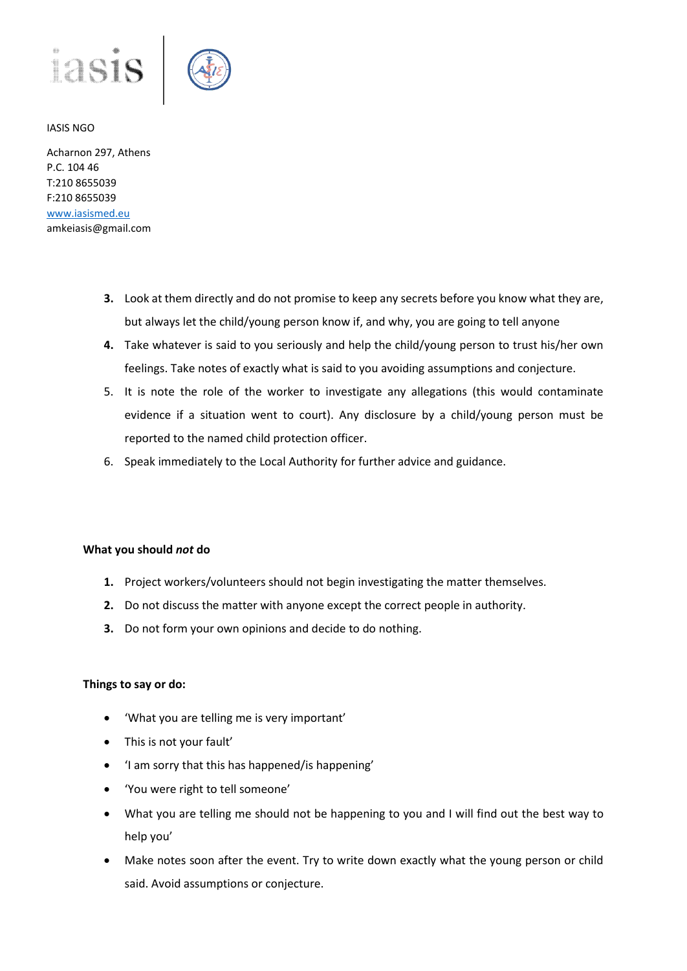

Acharnon 297, Athens P.C. 104 46 T:210 8655039 F:210 8655039 [www.iasismed.eu](http://www.iasismed.eu/) amkeiasis@gmail.com

- **3.** Look at them directly and do not promise to keep any secrets before you know what they are, but always let the child/young person know if, and why, you are going to tell anyone
- **4.** Take whatever is said to you seriously and help the child/young person to trust his/her own feelings. Take notes of exactly what is said to you avoiding assumptions and conjecture.
- 5. It is note the role of the worker to investigate any allegations (this would contaminate evidence if a situation went to court). Any disclosure by a child/young person must be reported to the named child protection officer.
- 6. Speak immediately to the Local Authority for further advice and guidance.

#### **What you should** *not* **do**

- **1.** Project workers/volunteers should not begin investigating the matter themselves.
- **2.** Do not discuss the matter with anyone except the correct people in authority.
- **3.** Do not form your own opinions and decide to do nothing.

#### **Things to say or do:**

- 'What you are telling me is very important'
- This is not your fault'
- 'I am sorry that this has happened/is happening'
- 'You were right to tell someone'
- What you are telling me should not be happening to you and I will find out the best way to help you'
- Make notes soon after the event. Try to write down exactly what the young person or child said. Avoid assumptions or conjecture.